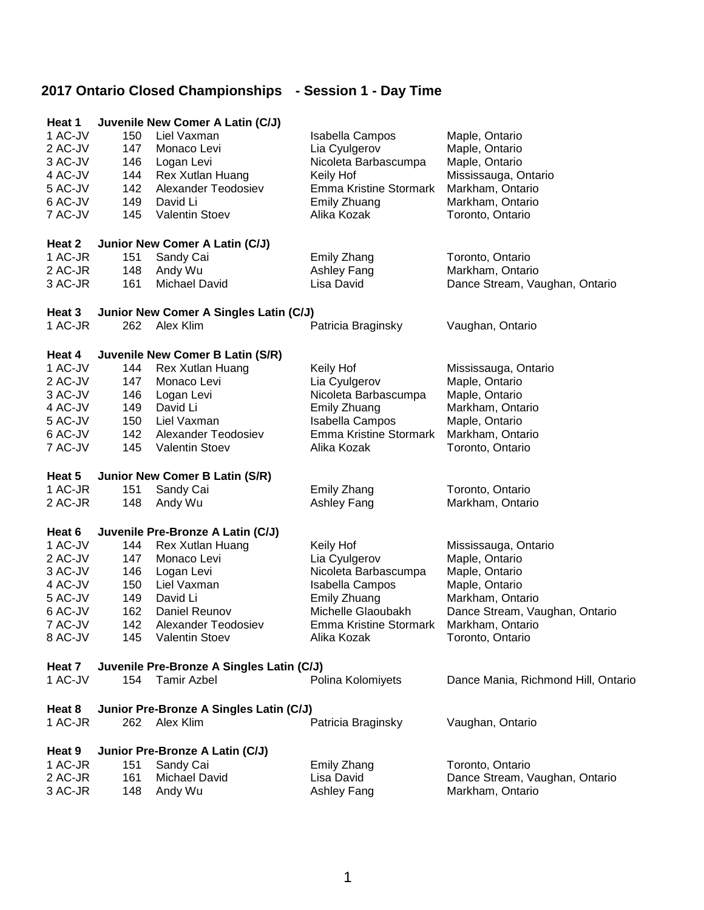| Heat 1  |     | Juvenile New Comer A Latin (C/J)          |                               |                                     |
|---------|-----|-------------------------------------------|-------------------------------|-------------------------------------|
| 1 AC-JV | 150 | Liel Vaxman                               | Isabella Campos               | Maple, Ontario                      |
| 2 AC-JV | 147 | Monaco Levi                               | Lia Cyulgerov                 | Maple, Ontario                      |
| 3 AC-JV | 146 | Logan Levi                                | Nicoleta Barbascumpa          | Maple, Ontario                      |
| 4 AC-JV | 144 | Rex Xutlan Huang                          | Keily Hof                     | Mississauga, Ontario                |
| 5 AC-JV | 142 | Alexander Teodosiev                       | <b>Emma Kristine Stormark</b> | Markham, Ontario                    |
| 6 AC-JV | 149 | David Li                                  | Emily Zhuang                  | Markham, Ontario                    |
| 7 AC-JV | 145 | Valentin Stoev                            | Alika Kozak                   | Toronto, Ontario                    |
| Heat 2  |     | Junior New Comer A Latin (C/J)            |                               |                                     |
| 1 AC-JR | 151 | Sandy Cai                                 | Emily Zhang                   | Toronto, Ontario                    |
| 2 AC-JR | 148 | Andy Wu                                   | Ashley Fang                   | Markham, Ontario                    |
| 3 AC-JR | 161 | Michael David                             | Lisa David                    | Dance Stream, Vaughan, Ontario      |
| Heat 3  |     | Junior New Comer A Singles Latin (C/J)    |                               |                                     |
| 1 AC-JR | 262 | Alex Klim                                 | Patricia Braginsky            | Vaughan, Ontario                    |
| Heat 4  |     | Juvenile New Comer B Latin (S/R)          |                               |                                     |
| 1 AC-JV | 144 | Rex Xutlan Huang                          | Keily Hof                     | Mississauga, Ontario                |
| 2 AC-JV | 147 | Monaco Levi                               | Lia Cyulgerov                 | Maple, Ontario                      |
| 3 AC-JV | 146 | Logan Levi                                | Nicoleta Barbascumpa          | Maple, Ontario                      |
| 4 AC-JV | 149 | David Li                                  | <b>Emily Zhuang</b>           | Markham, Ontario                    |
| 5 AC-JV | 150 | Liel Vaxman                               | Isabella Campos               | Maple, Ontario                      |
| 6 AC-JV | 142 | Alexander Teodosiev                       | <b>Emma Kristine Stormark</b> | Markham, Ontario                    |
| 7 AC-JV | 145 | Valentin Stoev                            | Alika Kozak                   | Toronto, Ontario                    |
| Heat 5  |     | Junior New Comer B Latin (S/R)            |                               |                                     |
| 1 AC-JR | 151 | Sandy Cai                                 | Emily Zhang                   | Toronto, Ontario                    |
| 2 AC-JR | 148 | Andy Wu                                   | Ashley Fang                   | Markham, Ontario                    |
| Heat 6  |     | Juvenile Pre-Bronze A Latin (C/J)         |                               |                                     |
| 1 AC-JV | 144 | Rex Xutlan Huang                          | Keily Hof                     | Mississauga, Ontario                |
| 2 AC-JV | 147 | Monaco Levi                               | Lia Cyulgerov                 | Maple, Ontario                      |
| 3 AC-JV | 146 | Logan Levi                                | Nicoleta Barbascumpa          | Maple, Ontario                      |
| 4 AC-JV | 150 | Liel Vaxman                               | Isabella Campos               | Maple, Ontario                      |
| 5 AC-JV | 149 | David Li                                  | Emily Zhuang                  | Markham, Ontario                    |
| 6 AC-JV | 162 | Daniel Reunov                             | Michelle Glaoubakh            | Dance Stream, Vaughan, Ontario      |
| 7 AC-JV | 142 | Alexander Teodosiev                       | Emma Kristine Stormark        | Markham, Ontario                    |
| 8 AC-JV | 145 | <b>Valentin Stoev</b>                     | Alika Kozak                   | Toronto, Ontario                    |
| Heat 7  |     | Juvenile Pre-Bronze A Singles Latin (C/J) |                               |                                     |
| 1 AC-JV | 154 | <b>Tamir Azbel</b>                        | Polina Kolomiyets             | Dance Mania, Richmond Hill, Ontario |
| Heat 8  |     | Junior Pre-Bronze A Singles Latin (C/J)   |                               |                                     |
| 1 AC-JR | 262 | Alex Klim                                 | Patricia Braginsky            | Vaughan, Ontario                    |
| Heat 9  |     | Junior Pre-Bronze A Latin (C/J)           |                               |                                     |
| 1 AC-JR | 151 | Sandy Cai                                 | Emily Zhang                   | Toronto, Ontario                    |
| 2 AC-JR | 161 | Michael David                             | Lisa David                    | Dance Stream, Vaughan, Ontario      |
| 3 AC-JR | 148 | Andy Wu                                   | Ashley Fang                   | Markham, Ontario                    |
|         |     |                                           |                               |                                     |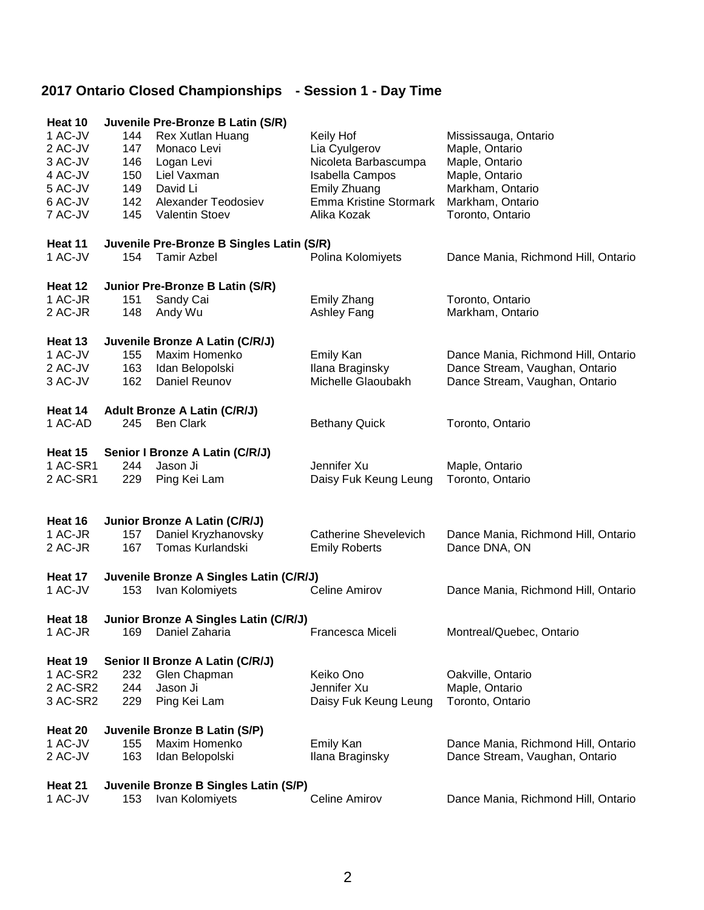| Heat 10  |     | Juvenile Pre-Bronze B Latin (S/R)         |                               |                                     |
|----------|-----|-------------------------------------------|-------------------------------|-------------------------------------|
| 1 AC-JV  | 144 | Rex Xutlan Huang                          | Keily Hof                     | Mississauga, Ontario                |
| 2 AC-JV  | 147 | Monaco Levi                               | Lia Cyulgerov                 | Maple, Ontario                      |
| 3 AC-JV  | 146 | Logan Levi                                | Nicoleta Barbascumpa          | Maple, Ontario                      |
| 4 AC-JV  | 150 | Liel Vaxman                               | Isabella Campos               | Maple, Ontario                      |
| 5 AC-JV  | 149 | David Li                                  | Emily Zhuang                  | Markham, Ontario                    |
| 6 AC-JV  | 142 | Alexander Teodosiev                       | <b>Emma Kristine Stormark</b> | Markham, Ontario                    |
| 7 AC-JV  | 145 | Valentin Stoev                            | Alika Kozak                   | Toronto, Ontario                    |
| Heat 11  |     | Juvenile Pre-Bronze B Singles Latin (S/R) |                               |                                     |
| 1 AC-JV  | 154 | <b>Tamir Azbel</b>                        | Polina Kolomiyets             | Dance Mania, Richmond Hill, Ontario |
| Heat 12  |     | Junior Pre-Bronze B Latin (S/R)           |                               |                                     |
| 1 AC-JR  | 151 | Sandy Cai                                 | Emily Zhang                   | Toronto, Ontario                    |
| 2 AC-JR  | 148 | Andy Wu                                   | Ashley Fang                   | Markham, Ontario                    |
| Heat 13  |     | Juvenile Bronze A Latin (C/R/J)           |                               |                                     |
| 1 AC-JV  | 155 | Maxim Homenko                             | <b>Emily Kan</b>              | Dance Mania, Richmond Hill, Ontario |
| 2 AC-JV  | 163 | Idan Belopolski                           | Ilana Braginsky               | Dance Stream, Vaughan, Ontario      |
| 3 AC-JV  | 162 | Daniel Reunov                             | Michelle Glaoubakh            | Dance Stream, Vaughan, Ontario      |
| Heat 14  |     | <b>Adult Bronze A Latin (C/R/J)</b>       |                               |                                     |
| 1 AC-AD  | 245 | <b>Ben Clark</b>                          | <b>Bethany Quick</b>          | Toronto, Ontario                    |
|          |     |                                           |                               |                                     |
| Heat 15  |     | Senior I Bronze A Latin (C/R/J)           |                               |                                     |
| 1 AC-SR1 | 244 | Jason Ji                                  | Jennifer Xu                   | Maple, Ontario                      |
| 2 AC-SR1 | 229 | Ping Kei Lam                              | Daisy Fuk Keung Leung         | Toronto, Ontario                    |
|          |     |                                           |                               |                                     |
| Heat 16  |     | Junior Bronze A Latin (C/R/J)             |                               |                                     |
| 1 AC-JR  | 157 | Daniel Kryzhanovsky                       | <b>Catherine Shevelevich</b>  | Dance Mania, Richmond Hill, Ontario |
| 2 AC-JR  | 167 | Tomas Kurlandski                          | <b>Emily Roberts</b>          | Dance DNA, ON                       |
| Heat 17  |     | Juvenile Bronze A Singles Latin (C/R/J)   |                               |                                     |
| 1 AC-JV  | 153 | Ivan Kolomiyets                           | Celine Amirov                 | Dance Mania, Richmond Hill, Ontario |
| Heat 18  |     | Junior Bronze A Singles Latin (C/R/J)     |                               |                                     |
| 1 AC-JR  |     | 169 Daniel Zaharia                        | Francesca Miceli              | Montreal/Quebec, Ontario            |
| Heat 19  |     | Senior II Bronze A Latin (C/R/J)          |                               |                                     |
| 1 AC-SR2 | 232 | Glen Chapman                              | Keiko Ono                     | Oakville, Ontario                   |
| 2 AC-SR2 | 244 | Jason Ji                                  | Jennifer Xu                   | Maple, Ontario                      |
| 3 AC-SR2 | 229 | Ping Kei Lam                              | Daisy Fuk Keung Leung         | Toronto, Ontario                    |
|          |     |                                           |                               |                                     |
| Heat 20  |     | Juvenile Bronze B Latin (S/P)             |                               |                                     |
| 1 AC-JV  | 155 | Maxim Homenko                             | Emily Kan                     | Dance Mania, Richmond Hill, Ontario |
| 2 AC-JV  | 163 | Idan Belopolski                           | Ilana Braginsky               | Dance Stream, Vaughan, Ontario      |
| Heat 21  |     | Juvenile Bronze B Singles Latin (S/P)     |                               |                                     |
| 1 AC-JV  | 153 | Ivan Kolomiyets                           | Celine Amirov                 | Dance Mania, Richmond Hill, Ontario |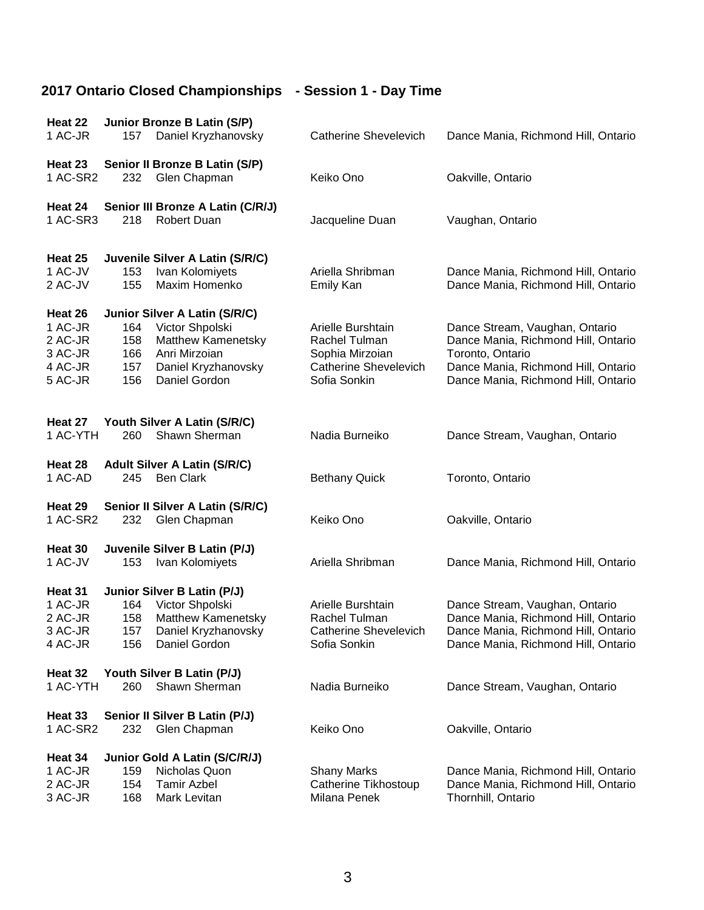| Heat 22                       |            | Junior Bronze B Latin (S/P)                             |                                                 |                                                                            |
|-------------------------------|------------|---------------------------------------------------------|-------------------------------------------------|----------------------------------------------------------------------------|
| 1 AC-JR                       | 157        | Daniel Kryzhanovsky                                     | <b>Catherine Shevelevich</b>                    | Dance Mania, Richmond Hill, Ontario                                        |
| Heat 23                       |            | Senior II Bronze B Latin (S/P)                          |                                                 |                                                                            |
| 1 AC-SR2                      | 232        | Glen Chapman                                            | Keiko Ono                                       | Oakville, Ontario                                                          |
| Heat 24                       |            | Senior III Bronze A Latin (C/R/J)                       |                                                 |                                                                            |
| 1 AC-SR3                      | 218        | Robert Duan                                             | Jacqueline Duan                                 | Vaughan, Ontario                                                           |
| Heat 25                       |            | Juvenile Silver A Latin (S/R/C)                         |                                                 |                                                                            |
| 1 AC-JV<br>2 AC-JV            | 153<br>155 | Ivan Kolomiyets<br>Maxim Homenko                        | Ariella Shribman<br>Emily Kan                   | Dance Mania, Richmond Hill, Ontario<br>Dance Mania, Richmond Hill, Ontario |
| Heat 26                       |            | Junior Silver A Latin (S/R/C)                           |                                                 |                                                                            |
| 1 AC-JR<br>2 AC-JR<br>3 AC-JR | 164<br>158 | Victor Shpolski<br>Matthew Kamenetsky                   | Arielle Burshtain<br>Rachel Tulman              | Dance Stream, Vaughan, Ontario<br>Dance Mania, Richmond Hill, Ontario      |
| 4 AC-JR                       | 166<br>157 | Anri Mirzoian<br>Daniel Kryzhanovsky                    | Sophia Mirzoian<br><b>Catherine Shevelevich</b> | Toronto, Ontario<br>Dance Mania, Richmond Hill, Ontario                    |
| 5 AC-JR                       | 156        | Daniel Gordon                                           | Sofia Sonkin                                    | Dance Mania, Richmond Hill, Ontario                                        |
|                               |            |                                                         |                                                 |                                                                            |
| Heat 27<br>1 AC-YTH           | 260        | Youth Silver A Latin (S/R/C)<br>Shawn Sherman           | Nadia Burneiko                                  | Dance Stream, Vaughan, Ontario                                             |
| Heat 28<br>1 AC-AD            | 245        | <b>Adult Silver A Latin (S/R/C)</b><br><b>Ben Clark</b> | <b>Bethany Quick</b>                            | Toronto, Ontario                                                           |
| Heat 29<br>1 AC-SR2           | 232        | Senior II Silver A Latin (S/R/C)<br>Glen Chapman        | Keiko Ono                                       | Oakville, Ontario                                                          |
| Heat 30                       |            | Juvenile Silver B Latin (P/J)                           |                                                 |                                                                            |
| 1 AC-JV                       | 153        | Ivan Kolomiyets                                         | Ariella Shribman                                | Dance Mania, Richmond Hill, Ontario                                        |
| Heat 31                       |            | Junior Silver B Latin (P/J)                             |                                                 |                                                                            |
| 1 AC-JR                       | 164        | Victor Shpolski                                         | Arielle Burshtain                               | Dance Stream, Vaughan, Ontario                                             |
| 2 AC-JR                       | 158        | Matthew Kamenetsky                                      | Rachel Tulman                                   | Dance Mania, Richmond Hill, Ontario                                        |
| 3 AC-JR                       | 157        | Daniel Kryzhanovsky                                     | <b>Catherine Shevelevich</b>                    | Dance Mania, Richmond Hill, Ontario                                        |
| 4 AC-JR                       | 156        | Daniel Gordon                                           | Sofia Sonkin                                    | Dance Mania, Richmond Hill, Ontario                                        |
| Heat 32                       |            | Youth Silver B Latin (P/J)                              |                                                 |                                                                            |
| 1 AC-YTH                      | 260        | Shawn Sherman                                           | Nadia Burneiko                                  | Dance Stream, Vaughan, Ontario                                             |
| Heat 33                       |            | Senior II Silver B Latin (P/J)                          |                                                 |                                                                            |
| 1 AC-SR2                      | 232        | Glen Chapman                                            | Keiko Ono                                       | Oakville, Ontario                                                          |
| Heat 34                       |            | Junior Gold A Latin (S/C/R/J)                           |                                                 |                                                                            |
| 1 AC-JR                       | 159        | Nicholas Quon                                           | <b>Shany Marks</b>                              | Dance Mania, Richmond Hill, Ontario                                        |
| 2 AC-JR                       | 154        | <b>Tamir Azbel</b>                                      | Catherine Tikhostoup                            | Dance Mania, Richmond Hill, Ontario                                        |
| 3 AC-JR                       | 168        | Mark Levitan                                            | Milana Penek                                    | Thornhill, Ontario                                                         |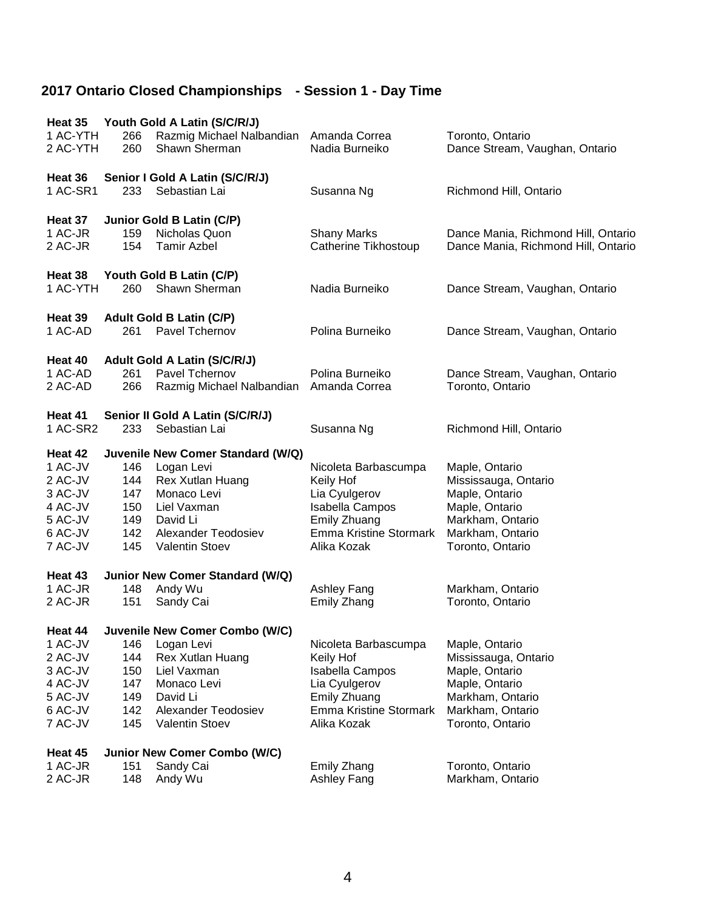| Heat 35            |     | Youth Gold A Latin (S/C/R/J)        |                               |                                      |
|--------------------|-----|-------------------------------------|-------------------------------|--------------------------------------|
| 1 AC-YTH           | 266 | Razmig Michael Nalbandian           | Amanda Correa                 | Toronto, Ontario                     |
| 2 AC-YTH           | 260 | Shawn Sherman                       | Nadia Burneiko                | Dance Stream, Vaughan, Ontario       |
|                    |     |                                     |                               |                                      |
| Heat 36            |     | Senior I Gold A Latin (S/C/R/J)     |                               |                                      |
| 1 AC-SR1           | 233 | Sebastian Lai                       | Susanna Ng                    | Richmond Hill, Ontario               |
| Heat 37            |     | Junior Gold B Latin (C/P)           |                               |                                      |
| 1 AC-JR            | 159 | Nicholas Quon                       | <b>Shany Marks</b>            | Dance Mania, Richmond Hill, Ontario  |
| 2 AC-JR            | 154 | <b>Tamir Azbel</b>                  | Catherine Tikhostoup          | Dance Mania, Richmond Hill, Ontario  |
|                    |     |                                     |                               |                                      |
| Heat 38            |     | Youth Gold B Latin (C/P)            |                               |                                      |
| 1 AC-YTH           | 260 | Shawn Sherman                       | Nadia Burneiko                | Dance Stream, Vaughan, Ontario       |
|                    |     |                                     |                               |                                      |
| Heat 39            |     | <b>Adult Gold B Latin (C/P)</b>     |                               |                                      |
| 1 AC-AD            | 261 | Pavel Tchernov                      | Polina Burneiko               | Dance Stream, Vaughan, Ontario       |
| Heat 40            |     | <b>Adult Gold A Latin (S/C/R/J)</b> |                               |                                      |
| 1 AC-AD            | 261 | Pavel Tchernov                      | Polina Burneiko               | Dance Stream, Vaughan, Ontario       |
| 2 AC-AD            | 266 | Razmig Michael Nalbandian           | Amanda Correa                 | Toronto, Ontario                     |
|                    |     |                                     |                               |                                      |
| Heat 41            |     | Senior II Gold A Latin (S/C/R/J)    |                               |                                      |
| 1 AC-SR2           | 233 | Sebastian Lai                       | Susanna Ng                    | Richmond Hill, Ontario               |
| Heat 42            |     | Juvenile New Comer Standard (W/Q)   |                               |                                      |
| 1 AC-JV            | 146 | Logan Levi                          | Nicoleta Barbascumpa          | Maple, Ontario                       |
| 2 AC-JV            | 144 | Rex Xutlan Huang                    | Keily Hof                     | Mississauga, Ontario                 |
| 3 AC-JV            | 147 | Monaco Levi                         | Lia Cyulgerov                 | Maple, Ontario                       |
| 4 AC-JV            | 150 | Liel Vaxman                         | Isabella Campos               | Maple, Ontario                       |
| 5 AC-JV            | 149 | David Li                            | Emily Zhuang                  | Markham, Ontario                     |
| 6 AC-JV            | 142 | Alexander Teodosiev                 | Emma Kristine Stormark        | Markham, Ontario                     |
| 7 AC-JV            | 145 | Valentin Stoev                      | Alika Kozak                   | Toronto, Ontario                     |
|                    |     |                                     |                               |                                      |
| Heat 43<br>1 AC-JR | 148 | Junior New Comer Standard (W/Q)     |                               |                                      |
| 2 AC-JR            | 151 | Andy Wu<br>Sandy Cai                | Ashley Fang<br>Emily Zhang    | Markham, Ontario<br>Toronto, Ontario |
|                    |     |                                     |                               |                                      |
| Heat 44            |     | Juvenile New Comer Combo (W/C)      |                               |                                      |
| 1 AC-JV            | 146 | Logan Levi                          | Nicoleta Barbascumpa          | Maple, Ontario                       |
| 2 AC-JV            | 144 | Rex Xutlan Huang                    | Keily Hof                     | Mississauga, Ontario                 |
| 3 AC-JV            | 150 | Liel Vaxman                         | <b>Isabella Campos</b>        | Maple, Ontario                       |
| 4 AC-JV            | 147 | Monaco Levi                         | Lia Cyulgerov                 | Maple, Ontario                       |
| 5 AC-JV            | 149 | David Li                            | Emily Zhuang                  | Markham, Ontario                     |
| 6 AC-JV            | 142 | Alexander Teodosiev                 | <b>Emma Kristine Stormark</b> | Markham, Ontario                     |
| 7 AC-JV            | 145 | Valentin Stoev                      | Alika Kozak                   | Toronto, Ontario                     |
|                    |     |                                     |                               |                                      |
| Heat 45            |     | <b>Junior New Comer Combo (W/C)</b> |                               |                                      |
| 1 AC-JR            | 151 | Sandy Cai                           | <b>Emily Zhang</b>            | Toronto, Ontario                     |
| 2 AC-JR            | 148 | Andy Wu                             | Ashley Fang                   | Markham, Ontario                     |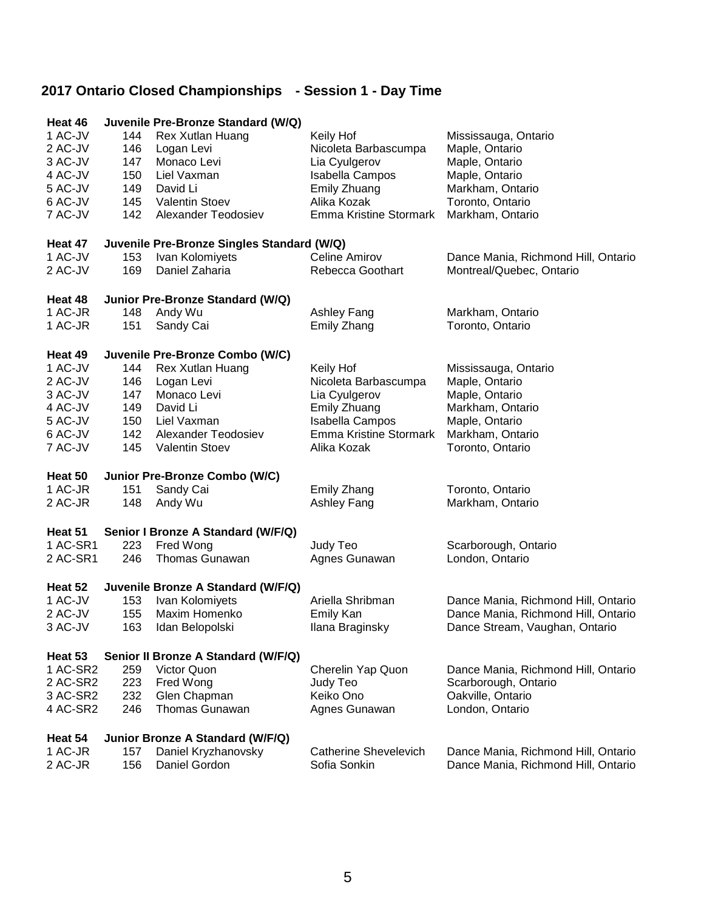| Heat 46  |     | Juvenile Pre-Bronze Standard (W/Q)         |                               |                                     |
|----------|-----|--------------------------------------------|-------------------------------|-------------------------------------|
| 1 AC-JV  | 144 | Rex Xutlan Huang                           | Keily Hof                     | Mississauga, Ontario                |
| 2 AC-JV  | 146 | Logan Levi                                 | Nicoleta Barbascumpa          | Maple, Ontario                      |
| 3 AC-JV  | 147 | Monaco Levi                                | Lia Cyulgerov                 | Maple, Ontario                      |
| 4 AC-JV  | 150 | Liel Vaxman                                | Isabella Campos               | Maple, Ontario                      |
| 5 AC-JV  | 149 | David Li                                   | Emily Zhuang                  | Markham, Ontario                    |
| 6 AC-JV  | 145 | Valentin Stoev                             | Alika Kozak                   | Toronto, Ontario                    |
| 7 AC-JV  | 142 | Alexander Teodosiev                        | <b>Emma Kristine Stormark</b> | Markham, Ontario                    |
| Heat 47  |     | Juvenile Pre-Bronze Singles Standard (W/Q) |                               |                                     |
| 1 AC-JV  | 153 | Ivan Kolomiyets                            | Celine Amirov                 | Dance Mania, Richmond Hill, Ontario |
| 2 AC-JV  | 169 | Daniel Zaharia                             | Rebecca Goothart              | Montreal/Quebec, Ontario            |
| Heat 48  |     | Junior Pre-Bronze Standard (W/Q)           |                               |                                     |
| 1 AC-JR  | 148 | Andy Wu                                    | Ashley Fang                   | Markham, Ontario                    |
| 1 AC-JR  | 151 | Sandy Cai                                  | Emily Zhang                   | Toronto, Ontario                    |
| Heat 49  |     | Juvenile Pre-Bronze Combo (W/C)            |                               |                                     |
| 1 AC-JV  | 144 | Rex Xutlan Huang                           | Keily Hof                     | Mississauga, Ontario                |
| 2 AC-JV  | 146 | Logan Levi                                 | Nicoleta Barbascumpa          | Maple, Ontario                      |
| 3 AC-JV  | 147 | Monaco Levi                                | Lia Cyulgerov                 | Maple, Ontario                      |
| 4 AC-JV  | 149 | David Li                                   | Emily Zhuang                  | Markham, Ontario                    |
| 5 AC-JV  | 150 | Liel Vaxman                                | <b>Isabella Campos</b>        | Maple, Ontario                      |
| 6 AC-JV  | 142 | Alexander Teodosiev                        | <b>Emma Kristine Stormark</b> | Markham, Ontario                    |
| 7 AC-JV  | 145 | Valentin Stoev                             | Alika Kozak                   | Toronto, Ontario                    |
| Heat 50  |     | Junior Pre-Bronze Combo (W/C)              |                               |                                     |
| 1 AC-JR  | 151 | Sandy Cai                                  | Emily Zhang                   | Toronto, Ontario                    |
| 2 AC-JR  | 148 | Andy Wu                                    | Ashley Fang                   | Markham, Ontario                    |
| Heat 51  |     | Senior I Bronze A Standard (W/F/Q)         |                               |                                     |
| 1 AC-SR1 | 223 | Fred Wong                                  | Judy Teo                      | Scarborough, Ontario                |
| 2 AC-SR1 | 246 | <b>Thomas Gunawan</b>                      |                               | London, Ontario                     |
|          |     |                                            | Agnes Gunawan                 |                                     |
| Heat 52  |     | Juvenile Bronze A Standard (W/F/Q)         |                               |                                     |
| 1 AC-JV  | 153 | Ivan Kolomiyets                            | Ariella Shribman              | Dance Mania, Richmond Hill, Ontario |
| 2 AC-JV  | 155 | Maxim Homenko                              | Emily Kan                     | Dance Mania, Richmond Hill, Ontario |
| 3 AC-JV  | 163 | Idan Belopolski                            | Ilana Braginsky               | Dance Stream, Vaughan, Ontario      |
| Heat 53  |     | Senior II Bronze A Standard (W/F/Q)        |                               |                                     |
| 1 AC-SR2 | 259 | Victor Quon                                | Cherelin Yap Quon             | Dance Mania, Richmond Hill, Ontario |
| 2 AC-SR2 | 223 | Fred Wong                                  | Judy Teo                      | Scarborough, Ontario                |
| 3 AC-SR2 | 232 | Glen Chapman                               | Keiko Ono                     | Oakville, Ontario                   |
| 4 AC-SR2 | 246 | Thomas Gunawan                             | Agnes Gunawan                 | London, Ontario                     |
| Heat 54  |     | Junior Bronze A Standard (W/F/Q)           |                               |                                     |
| 1 AC-JR  | 157 | Daniel Kryzhanovsky                        | <b>Catherine Shevelevich</b>  | Dance Mania, Richmond Hill, Ontario |
| 2 AC-JR  | 156 | Daniel Gordon                              | Sofia Sonkin                  | Dance Mania, Richmond Hill, Ontario |
|          |     |                                            |                               |                                     |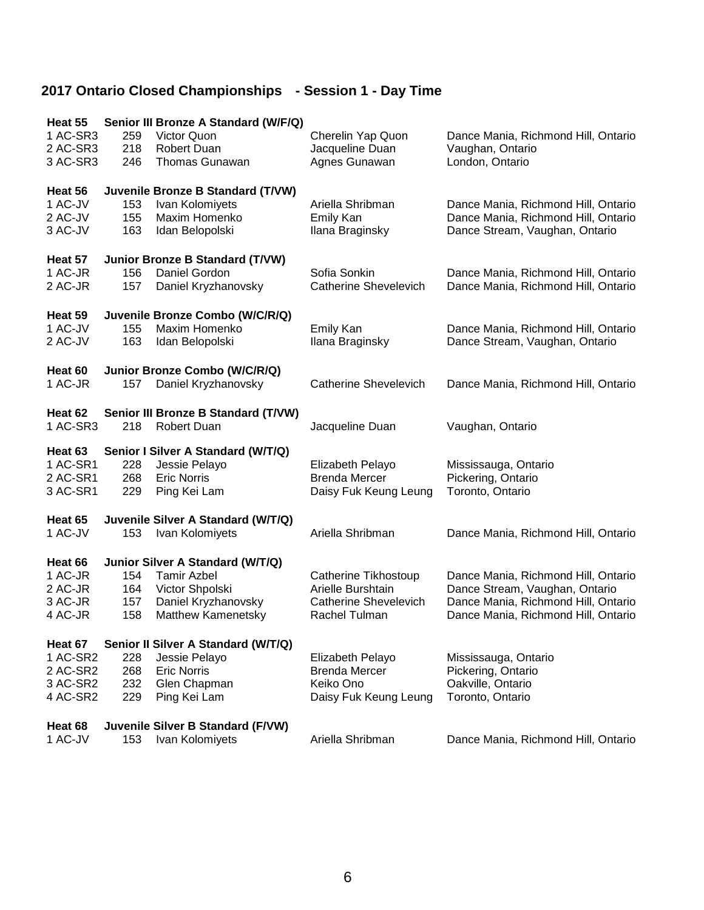| Heat 55  |     | Senior III Bronze A Standard (W/F/Q)   |                              |                                     |
|----------|-----|----------------------------------------|------------------------------|-------------------------------------|
| 1 AC-SR3 | 259 | Victor Quon                            | Cherelin Yap Quon            | Dance Mania, Richmond Hill, Ontario |
| 2 AC-SR3 | 218 | <b>Robert Duan</b>                     | Jacqueline Duan              | Vaughan, Ontario                    |
| 3 AC-SR3 | 246 | <b>Thomas Gunawan</b>                  | Agnes Gunawan                | London, Ontario                     |
|          |     |                                        |                              |                                     |
| Heat 56  |     | Juvenile Bronze B Standard (T/VW)      |                              |                                     |
| 1 AC-JV  | 153 | Ivan Kolomiyets                        | Ariella Shribman             | Dance Mania, Richmond Hill, Ontario |
| 2 AC-JV  | 155 | Maxim Homenko                          | Emily Kan                    | Dance Mania, Richmond Hill, Ontario |
| 3 AC-JV  | 163 | Idan Belopolski                        | Ilana Braginsky              | Dance Stream, Vaughan, Ontario      |
|          |     |                                        |                              |                                     |
| Heat 57  |     | <b>Junior Bronze B Standard (T/VW)</b> |                              |                                     |
| 1 AC-JR  | 156 | Daniel Gordon                          | Sofia Sonkin                 | Dance Mania, Richmond Hill, Ontario |
| 2 AC-JR  | 157 | Daniel Kryzhanovsky                    | <b>Catherine Shevelevich</b> | Dance Mania, Richmond Hill, Ontario |
|          |     |                                        |                              |                                     |
| Heat 59  |     | Juvenile Bronze Combo (W/C/R/Q)        |                              |                                     |
| 1 AC-JV  | 155 | Maxim Homenko                          | <b>Emily Kan</b>             | Dance Mania, Richmond Hill, Ontario |
| 2 AC-JV  | 163 | Idan Belopolski                        | Ilana Braginsky              | Dance Stream, Vaughan, Ontario      |
|          |     |                                        |                              |                                     |
| Heat 60  |     | Junior Bronze Combo (W/C/R/Q)          |                              |                                     |
| 1 AC-JR  | 157 | Daniel Kryzhanovsky                    | <b>Catherine Shevelevich</b> | Dance Mania, Richmond Hill, Ontario |
|          |     |                                        |                              |                                     |
| Heat 62  |     | Senior III Bronze B Standard (T/VW)    |                              |                                     |
| 1 AC-SR3 | 218 | <b>Robert Duan</b>                     | Jacqueline Duan              | Vaughan, Ontario                    |
|          |     |                                        |                              |                                     |
| Heat 63  |     | Senior I Silver A Standard (W/T/Q)     |                              |                                     |
| 1 AC-SR1 | 228 | Jessie Pelayo                          | Elizabeth Pelayo             | Mississauga, Ontario                |
| 2 AC-SR1 | 268 | <b>Eric Norris</b>                     | <b>Brenda Mercer</b>         | Pickering, Ontario                  |
| 3 AC-SR1 | 229 | Ping Kei Lam                           | Daisy Fuk Keung Leung        | Toronto, Ontario                    |
|          |     |                                        |                              |                                     |
| Heat 65  |     | Juvenile Silver A Standard (W/T/Q)     |                              |                                     |
| 1 AC-JV  | 153 | Ivan Kolomiyets                        | Ariella Shribman             | Dance Mania, Richmond Hill, Ontario |
|          |     |                                        |                              |                                     |
| Heat 66  |     | Junior Silver A Standard (W/T/Q)       |                              |                                     |
| 1 AC-JR  | 154 | <b>Tamir Azbel</b>                     | <b>Catherine Tikhostoup</b>  | Dance Mania, Richmond Hill, Ontario |
| 2 AC-JR  | 164 | Victor Shpolski                        | Arielle Burshtain            | Dance Stream, Vaughan, Ontario      |
| 3 AC-JR  | 157 | Daniel Kryzhanovsky                    | <b>Catherine Shevelevich</b> | Dance Mania, Richmond Hill, Ontario |
| 4 AC-JR  | 158 | Matthew Kamenetsky                     | Rachel Tulman                | Dance Mania, Richmond Hill, Ontario |
|          |     |                                        |                              |                                     |
| Heat 67  |     | Senior II Silver A Standard (W/T/Q)    |                              |                                     |
| 1 AC-SR2 | 228 | Jessie Pelayo                          | Elizabeth Pelayo             | Mississauga, Ontario                |
| 2 AC-SR2 | 268 | <b>Eric Norris</b>                     | <b>Brenda Mercer</b>         | Pickering, Ontario                  |
| 3 AC-SR2 | 232 | Glen Chapman                           | Keiko Ono                    | Oakville, Ontario                   |
| 4 AC-SR2 | 229 | Ping Kei Lam                           | Daisy Fuk Keung Leung        | Toronto, Ontario                    |
|          |     |                                        |                              |                                     |
| Heat 68  |     | Juvenile Silver B Standard (F/VW)      |                              |                                     |
| 1 AC-JV  | 153 | Ivan Kolomiyets                        | Ariella Shribman             | Dance Mania, Richmond Hill, Ontario |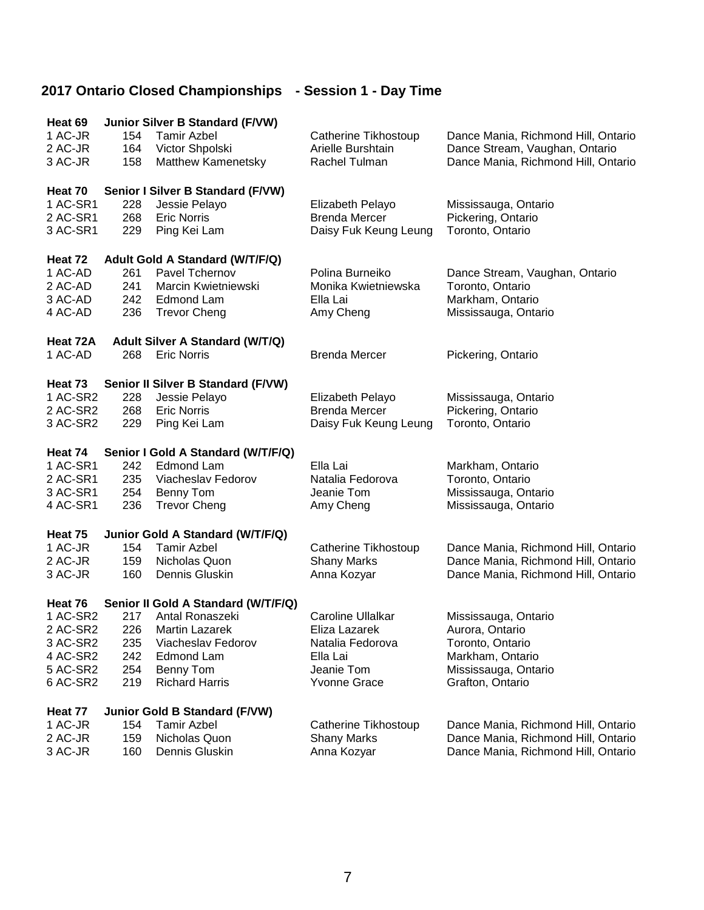| Heat 69              |            | <b>Junior Silver B Standard (F/VW)</b> |                                   |                                                                            |
|----------------------|------------|----------------------------------------|-----------------------------------|----------------------------------------------------------------------------|
| 1 AC-JR              | 154        | <b>Tamir Azbel</b>                     | Catherine Tikhostoup              | Dance Mania, Richmond Hill, Ontario                                        |
| 2 AC-JR              | 164        | Victor Shpolski                        | Arielle Burshtain                 | Dance Stream, Vaughan, Ontario                                             |
| 3 AC-JR              | 158        | Matthew Kamenetsky                     | Rachel Tulman                     | Dance Mania, Richmond Hill, Ontario                                        |
| Heat 70              |            | Senior I Silver B Standard (F/VW)      |                                   |                                                                            |
| 1 AC-SR1             | 228        | Jessie Pelayo                          | Elizabeth Pelayo                  | Mississauga, Ontario                                                       |
| 2 AC-SR1             | 268        | <b>Eric Norris</b>                     | <b>Brenda Mercer</b>              | Pickering, Ontario                                                         |
| 3 AC-SR1             | 229        | Ping Kei Lam                           | Daisy Fuk Keung Leung             | Toronto, Ontario                                                           |
|                      |            |                                        |                                   |                                                                            |
| Heat 72<br>1 AC-AD   |            | Adult Gold A Standard (W/T/F/Q)        | Polina Burneiko                   |                                                                            |
| 2 AC-AD              | 261<br>241 | Pavel Tchernov<br>Marcin Kwietniewski  | Monika Kwietniewska               | Dance Stream, Vaughan, Ontario<br>Toronto, Ontario                         |
| 3 AC-AD              | 242        | Edmond Lam                             | Ella Lai                          | Markham, Ontario                                                           |
| 4 AC-AD              | 236        | <b>Trevor Cheng</b>                    | Amy Cheng                         | Mississauga, Ontario                                                       |
|                      |            |                                        |                                   |                                                                            |
| Heat 72A             |            | Adult Silver A Standard (W/T/Q)        |                                   |                                                                            |
| 1 AC-AD              | 268        | <b>Eric Norris</b>                     | <b>Brenda Mercer</b>              | Pickering, Ontario                                                         |
| Heat 73              |            | Senior II Silver B Standard (F/VW)     |                                   |                                                                            |
| 1 AC-SR2             | 228        | Jessie Pelayo                          | Elizabeth Pelayo                  | Mississauga, Ontario                                                       |
| 2 AC-SR2             | 268        | <b>Eric Norris</b>                     | <b>Brenda Mercer</b>              | Pickering, Ontario                                                         |
| 3 AC-SR2             | 229        | Ping Kei Lam                           | Daisy Fuk Keung Leung             | Toronto, Ontario                                                           |
|                      |            |                                        |                                   |                                                                            |
|                      |            |                                        |                                   |                                                                            |
| Heat 74              |            | Senior I Gold A Standard (W/T/F/Q)     |                                   |                                                                            |
| 1 AC-SR1             | 242        | <b>Edmond Lam</b>                      | Ella Lai                          | Markham, Ontario                                                           |
| 2 AC-SR1             | 235        | Viacheslav Fedorov                     | Natalia Fedorova                  | Toronto, Ontario                                                           |
| 3 AC-SR1<br>4 AC-SR1 | 254<br>236 | Benny Tom<br><b>Trevor Cheng</b>       | Jeanie Tom<br>Amy Cheng           | Mississauga, Ontario<br>Mississauga, Ontario                               |
|                      |            |                                        |                                   |                                                                            |
| Heat 75              |            | Junior Gold A Standard (W/T/F/Q)       |                                   |                                                                            |
| 1 AC-JR              | 154        | <b>Tamir Azbel</b>                     | Catherine Tikhostoup              | Dance Mania, Richmond Hill, Ontario                                        |
| 2 AC-JR              | 159        | Nicholas Quon                          | <b>Shany Marks</b>                | Dance Mania, Richmond Hill, Ontario                                        |
| 3 AC-JR              | 160        | Dennis Gluskin                         | Anna Kozyar                       | Dance Mania, Richmond Hill, Ontario                                        |
| Heat 76              |            | Senior II Gold A Standard (W/T/F/Q)    |                                   |                                                                            |
| 1 AC-SR2             | 217        | Antal Ronaszeki                        | Caroline Ullalkar                 | Mississauga, Ontario                                                       |
| 2 AC-SR2             | 226        | Martin Lazarek                         | Eliza Lazarek                     | Aurora, Ontario                                                            |
| 3 AC-SR2             | 235        | Viacheslav Fedorov                     | Natalia Fedorova                  | Toronto, Ontario                                                           |
| 4 AC-SR2             | 242        | Edmond Lam                             | Ella Lai                          | Markham, Ontario                                                           |
| 5 AC-SR2             | 254        | Benny Tom                              | Jeanie Tom                        | Mississauga, Ontario                                                       |
| 6 AC-SR2             | 219        | <b>Richard Harris</b>                  | <b>Yvonne Grace</b>               | Grafton, Ontario                                                           |
| Heat 77              |            | <b>Junior Gold B Standard (F/VW)</b>   |                                   |                                                                            |
| 1 AC-JR              | 154        | <b>Tamir Azbel</b>                     | Catherine Tikhostoup              | Dance Mania, Richmond Hill, Ontario                                        |
| 2 AC-JR<br>3 AC-JR   | 159<br>160 | Nicholas Quon<br>Dennis Gluskin        | <b>Shany Marks</b><br>Anna Kozyar | Dance Mania, Richmond Hill, Ontario<br>Dance Mania, Richmond Hill, Ontario |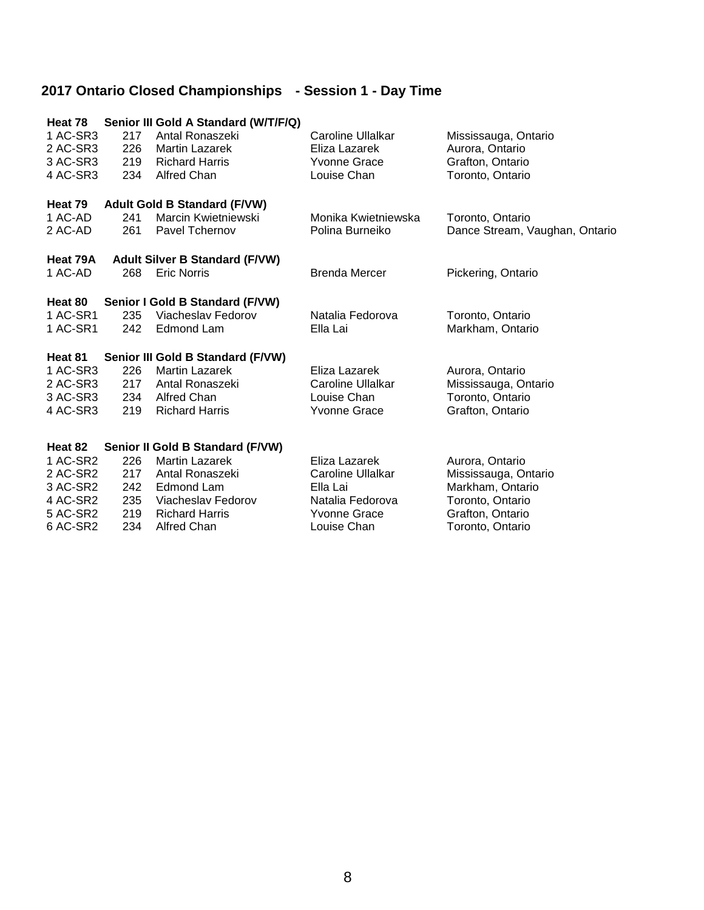| Heat 78<br>1 AC-SR3<br>2 AC-SR3<br>3 AC-SR3<br>4 AC-SR3 | 217<br>226<br>219<br>234 | Senior III Gold A Standard (W/T/F/Q)<br>Antal Ronaszeki<br><b>Martin Lazarek</b><br><b>Richard Harris</b><br><b>Alfred Chan</b> | Caroline Ullalkar<br>Eliza Lazarek<br><b>Yvonne Grace</b><br>Louise Chan | Mississauga, Ontario<br>Aurora, Ontario<br>Grafton, Ontario<br>Toronto, Ontario |
|---------------------------------------------------------|--------------------------|---------------------------------------------------------------------------------------------------------------------------------|--------------------------------------------------------------------------|---------------------------------------------------------------------------------|
| Heat 79                                                 |                          | <b>Adult Gold B Standard (F/VW)</b>                                                                                             |                                                                          |                                                                                 |
| 1 AC-AD<br>2 AC-AD                                      | 241<br>261               | Marcin Kwietniewski<br>Pavel Tchernov                                                                                           | Monika Kwietniewska<br>Polina Burneiko                                   | Toronto, Ontario<br>Dance Stream, Vaughan, Ontario                              |
| Heat 79A                                                |                          | <b>Adult Silver B Standard (F/VW)</b>                                                                                           |                                                                          |                                                                                 |
| 1 AC-AD                                                 | 268                      | <b>Eric Norris</b>                                                                                                              | <b>Brenda Mercer</b>                                                     | Pickering, Ontario                                                              |
| Heat 80                                                 |                          | Senior I Gold B Standard (F/VW)                                                                                                 |                                                                          |                                                                                 |
| 1 AC-SR1                                                | 235                      | Viacheslav Fedorov                                                                                                              | Natalia Fedorova                                                         | Toronto, Ontario                                                                |
| 1 AC-SR1                                                | 242                      | <b>Edmond Lam</b>                                                                                                               | Ella Lai                                                                 | Markham, Ontario                                                                |
| Heat 81                                                 |                          | Senior III Gold B Standard (F/VW)                                                                                               |                                                                          |                                                                                 |
| 1 AC-SR3                                                | 226                      | <b>Martin Lazarek</b>                                                                                                           | Eliza Lazarek                                                            | Aurora, Ontario                                                                 |
| 2 AC-SR3                                                | 217                      | Antal Ronaszeki                                                                                                                 | Caroline Ullalkar                                                        | Mississauga, Ontario                                                            |
| 3 AC-SR3<br>4 AC-SR3                                    | 234<br>219               | <b>Alfred Chan</b><br><b>Richard Harris</b>                                                                                     | Louise Chan<br><b>Yvonne Grace</b>                                       | Toronto, Ontario<br>Grafton, Ontario                                            |
|                                                         |                          |                                                                                                                                 |                                                                          |                                                                                 |
| Heat 82                                                 |                          | Senior II Gold B Standard (F/VW)                                                                                                |                                                                          |                                                                                 |
| 1 AC-SR2                                                | 226                      | <b>Martin Lazarek</b>                                                                                                           | Eliza Lazarek                                                            | Aurora, Ontario                                                                 |
| 2 AC-SR2                                                | 217                      | Antal Ronaszeki                                                                                                                 | Caroline Ullalkar                                                        | Mississauga, Ontario                                                            |
| 3 AC-SR2<br>4 AC-SR2                                    | 242<br>235               | Edmond Lam<br>Viacheslav Fedorov                                                                                                | Ella Lai<br>Natalia Fedorova                                             | Markham, Ontario<br>Toronto, Ontario                                            |
| 5 AC-SR2                                                | 219                      | <b>Richard Harris</b>                                                                                                           | <b>Yvonne Grace</b>                                                      | Grafton, Ontario                                                                |
| 6 AC-SR2                                                | 234                      | <b>Alfred Chan</b>                                                                                                              | Louise Chan                                                              | Toronto, Ontario                                                                |
|                                                         |                          |                                                                                                                                 |                                                                          |                                                                                 |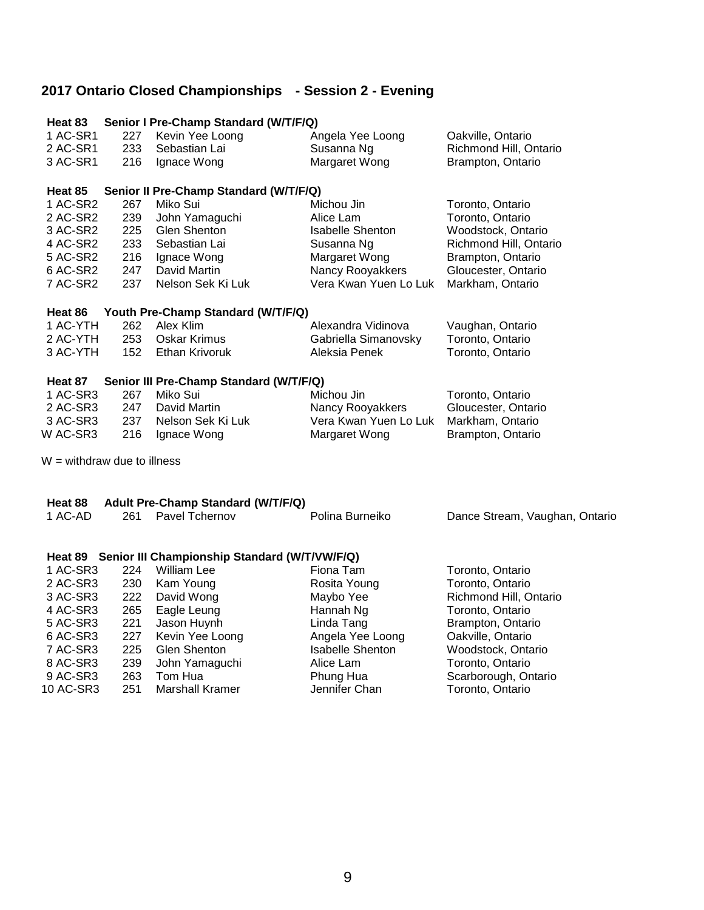### **2017 Ontario Closed Championships - Session 2 - Evening**

| Heat 83                       |     | Senior I Pre-Champ Standard (W/T/F/Q)                 |                                       |                                              |
|-------------------------------|-----|-------------------------------------------------------|---------------------------------------|----------------------------------------------|
| 1 AC-SR1                      | 227 | Kevin Yee Loong                                       | Angela Yee Loong                      | Oakville, Ontario                            |
| 2 AC-SR1                      | 233 | Sebastian Lai                                         | Susanna Ng                            | Richmond Hill, Ontario                       |
| 3 AC-SR1                      | 216 | Ignace Wong                                           | Margaret Wong                         | Brampton, Ontario                            |
|                               |     |                                                       |                                       |                                              |
| Heat 85<br>1 AC-SR2           | 267 | Senior II Pre-Champ Standard (W/T/F/Q)<br>Miko Sui    | Michou Jin                            |                                              |
| 2 AC-SR2                      | 239 |                                                       | Alice Lam                             | Toronto, Ontario                             |
|                               | 225 | John Yamaguchi<br>Glen Shenton                        |                                       | Toronto, Ontario                             |
| 3 AC-SR2<br>4 AC-SR2          | 233 | Sebastian Lai                                         | <b>Isabelle Shenton</b><br>Susanna Ng | Woodstock, Ontario<br>Richmond Hill, Ontario |
| 5 AC-SR2                      | 216 | Ignace Wong                                           | Margaret Wong                         | Brampton, Ontario                            |
| 6 AC-SR2                      | 247 | David Martin                                          | Nancy Rooyakkers                      |                                              |
| 7 AC-SR2                      |     |                                                       | Vera Kwan Yuen Lo Luk                 | Gloucester, Ontario                          |
|                               | 237 | Nelson Sek Ki Luk                                     |                                       | Markham, Ontario                             |
| Heat 86                       |     | Youth Pre-Champ Standard (W/T/F/Q)                    |                                       |                                              |
| 1 AC-YTH                      | 262 | Alex Klim                                             | Alexandra Vidinova                    | Vaughan, Ontario                             |
| 2 AC-YTH                      | 253 | <b>Oskar Krimus</b>                                   | Gabriella Simanovsky                  | Toronto, Ontario                             |
| 3 AC-YTH                      | 152 | Ethan Krivoruk                                        | Aleksia Penek                         | Toronto, Ontario                             |
| Heat 87                       |     | Senior III Pre-Champ Standard (W/T/F/Q)               |                                       |                                              |
| 1 AC-SR3                      | 267 | Miko Sui                                              | Michou Jin                            | Toronto, Ontario                             |
| 2 AC-SR3                      | 247 | David Martin                                          | Nancy Rooyakkers                      | Gloucester, Ontario                          |
| 3 AC-SR3                      | 237 | Nelson Sek Ki Luk                                     | Vera Kwan Yuen Lo Luk                 | Markham, Ontario                             |
| W AC-SR3                      | 216 | Ignace Wong                                           | Margaret Wong                         | Brampton, Ontario                            |
| $W =$ withdraw due to illness |     |                                                       |                                       |                                              |
| Heat 88                       |     | Adult Pre-Champ Standard (W/T/F/Q)                    |                                       |                                              |
| 1 AC-AD                       | 261 | Pavel Tchernov                                        | Polina Burneiko                       | Dance Stream, Vaughan, Ontario               |
|                               |     |                                                       |                                       |                                              |
|                               |     | Heat 89 Senior III Championship Standard (W/T/VW/F/Q) |                                       |                                              |
| 1 AC-SR3                      | 224 | <b>William Lee</b>                                    | Fiona Tam                             | Toronto, Ontario                             |
| 2 AC-SR3                      | 230 | Kam Young                                             | Rosita Young                          | Toronto, Ontario                             |
| 3 AC-SR3                      | 222 | David Wong                                            | Maybo Yee                             | Richmond Hill, Ontario                       |
| 4 AC-SR3                      | 265 | Eagle Leung                                           | Hannah Ng                             | Toronto, Ontario                             |
| 5 AC-SR3                      | 221 | Jason Huynh                                           | Linda Tang                            | Brampton, Ontario                            |
| 6 AC-SR3                      | 227 | Kevin Yee Loong                                       | Angela Yee Loong                      | Oakville, Ontario                            |
| 7 AC-SR3                      | 225 | Glen Shenton                                          | <b>Isabelle Shenton</b>               | Woodstock, Ontario                           |
| 8 AC-SR3                      | 239 | John Yamaguchi                                        | Alice Lam                             | Toronto, Ontario                             |
| 9 AC-SR3                      | 263 | Tom Hua                                               | Phung Hua                             | Scarborough, Ontario                         |
| 10 AC-SR3                     | 251 | <b>Marshall Kramer</b>                                | Jennifer Chan                         | Toronto, Ontario                             |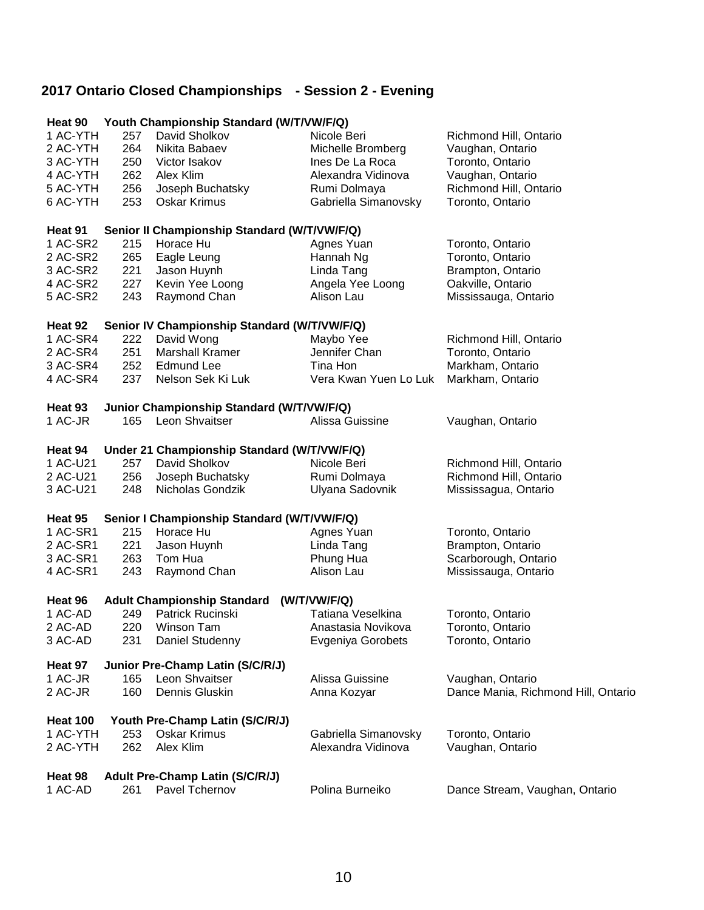### **2017 Ontario Closed Championships - Session 2 - Evening**

| Heat 90            |     | Youth Championship Standard (W/T/VW/F/Q)           |                          |                                     |
|--------------------|-----|----------------------------------------------------|--------------------------|-------------------------------------|
| 1 AC-YTH           | 257 | David Sholkov                                      | Nicole Beri              | Richmond Hill, Ontario              |
| 2 AC-YTH           | 264 | Nikita Babaev                                      | Michelle Bromberg        | Vaughan, Ontario                    |
| 3 AC-YTH           | 250 | Victor Isakov                                      | Ines De La Roca          | Toronto, Ontario                    |
| 4 AC-YTH           | 262 | Alex Klim                                          | Alexandra Vidinova       | Vaughan, Ontario                    |
| 5 AC-YTH           | 256 | Joseph Buchatsky                                   | Rumi Dolmaya             | Richmond Hill, Ontario              |
| 6 AC-YTH           | 253 | <b>Oskar Krimus</b>                                | Gabriella Simanovsky     | Toronto, Ontario                    |
|                    |     |                                                    |                          |                                     |
| Heat 91            |     | Senior II Championship Standard (W/T/VW/F/Q)       |                          |                                     |
| 1 AC-SR2           | 215 | Horace Hu                                          | Agnes Yuan               | Toronto, Ontario                    |
| 2 AC-SR2           | 265 | Eagle Leung                                        | Hannah Ng                | Toronto, Ontario                    |
| 3 AC-SR2           | 221 | Jason Huynh                                        | Linda Tang               | Brampton, Ontario                   |
| 4 AC-SR2           | 227 | Kevin Yee Loong                                    | Angela Yee Loong         | Oakville, Ontario                   |
| 5 AC-SR2           | 243 | Raymond Chan                                       | Alison Lau               | Mississauga, Ontario                |
|                    |     |                                                    |                          |                                     |
| Heat 92            |     | Senior IV Championship Standard (W/T/VW/F/Q)       |                          |                                     |
| 1 AC-SR4           | 222 | David Wong                                         | Maybo Yee                | Richmond Hill, Ontario              |
| 2 AC-SR4           | 251 | <b>Marshall Kramer</b>                             | Jennifer Chan            | Toronto, Ontario                    |
| 3 AC-SR4           | 252 | <b>Edmund Lee</b>                                  | Tina Hon                 | Markham, Ontario                    |
| 4 AC-SR4           | 237 | Nelson Sek Ki Luk                                  | Vera Kwan Yuen Lo Luk    | Markham, Ontario                    |
|                    |     |                                                    |                          |                                     |
| Heat 93            |     | Junior Championship Standard (W/T/VW/F/Q)          |                          |                                     |
| 1 AC-JR            | 165 | Leon Shvaitser                                     | Alissa Guissine          | Vaughan, Ontario                    |
| Heat 94            |     | Under 21 Championship Standard (W/T/VW/F/Q)        |                          |                                     |
| 1 AC-U21           | 257 | David Sholkov                                      | Nicole Beri              | Richmond Hill, Ontario              |
| 2 AC-U21           | 256 | Joseph Buchatsky                                   | Rumi Dolmaya             | Richmond Hill, Ontario              |
| 3 AC-U21           | 248 | Nicholas Gondzik                                   | Ulyana Sadovnik          | Mississagua, Ontario                |
|                    |     |                                                    |                          |                                     |
| Heat 95            |     | Senior I Championship Standard (W/T/VW/F/Q)        |                          |                                     |
| 1 AC-SR1           | 215 | Horace Hu                                          | Agnes Yuan               | Toronto, Ontario                    |
| 2 AC-SR1           | 221 | Jason Huynh                                        | Linda Tang               | Brampton, Ontario                   |
| 3 AC-SR1           | 263 | Tom Hua                                            | Phung Hua                | Scarborough, Ontario                |
| 4 AC-SR1           | 243 | Raymond Chan                                       | Alison Lau               | Mississauga, Ontario                |
|                    |     |                                                    |                          |                                     |
| Heat 96            |     | Adult Championship Standard (W/T/VW/F/Q)           |                          |                                     |
| 1 AC-AD            | 249 | Patrick Rucinski                                   | Tatiana Veselkina        | Toronto, Ontario                    |
| 2 AC-AD            |     | 220 Winson Tam                                     | Anastasia Novikova       | Toronto, Ontario                    |
| 3 AC-AD            | 231 | Daniel Studenny                                    | <b>Evgeniya Gorobets</b> | Toronto, Ontario                    |
|                    |     |                                                    |                          |                                     |
| Heat 97<br>1 AC-JR | 165 | Junior Pre-Champ Latin (S/C/R/J)<br>Leon Shvaitser | Alissa Guissine          |                                     |
|                    |     | Dennis Gluskin                                     |                          | Vaughan, Ontario                    |
| 2 AC-JR            | 160 |                                                    | Anna Kozyar              | Dance Mania, Richmond Hill, Ontario |
| <b>Heat 100</b>    |     | Youth Pre-Champ Latin (S/C/R/J)                    |                          |                                     |
| 1 AC-YTH           | 253 | <b>Oskar Krimus</b>                                | Gabriella Simanovsky     | Toronto, Ontario                    |
| 2 AC-YTH           | 262 | Alex Klim                                          | Alexandra Vidinova       | Vaughan, Ontario                    |
|                    |     |                                                    |                          |                                     |
| Heat 98            |     | <b>Adult Pre-Champ Latin (S/C/R/J)</b>             |                          |                                     |
| 1 AC-AD            | 261 | Pavel Tchernov                                     | Polina Burneiko          | Dance Stream, Vaughan, Ontario      |
|                    |     |                                                    |                          |                                     |